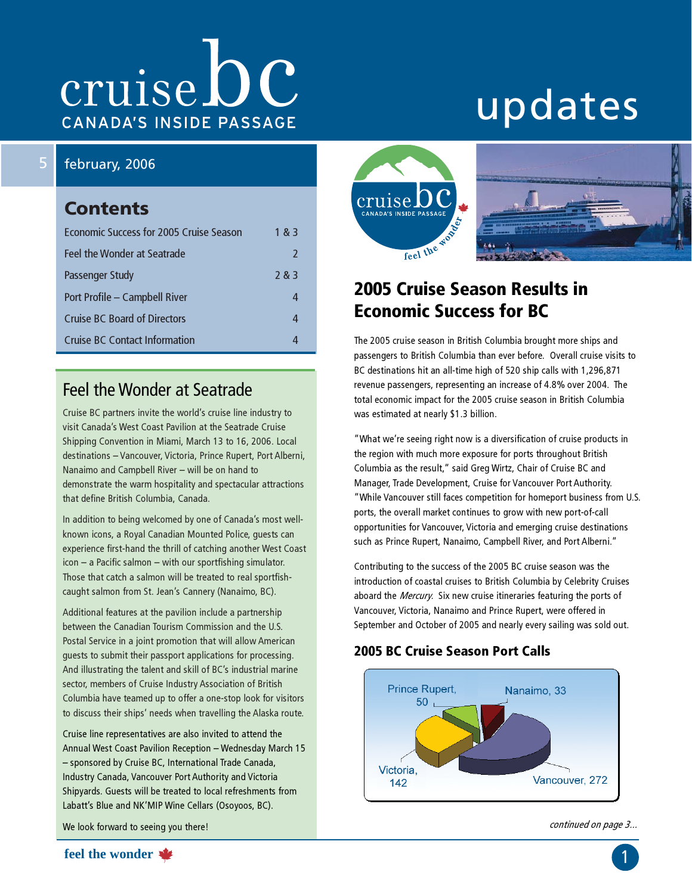# cruise DC **CANADA'S INSIDE PASSAGE**

# updates

#### 5 february, 2006

### **Contents**

| Economic Success for 2005 Cruise Season | 1 & 3         |
|-----------------------------------------|---------------|
| Feel the Wonder at Seatrade             | $\mathcal{L}$ |
| Passenger Study                         | 2 & 3         |
| Port Profile - Campbell River           |               |
| <b>Cruise BC Board of Directors</b>     |               |
| Cruise BC Contact Information           |               |

### Feel the Wonder at Seatrade

Cruise BC partners invite the world's cruise line industry to visit Canada's West Coast Pavilion at the Seatrade Cruise Shipping Convention in Miami, March 13 to 16, 2006. Local destinations – Vancouver, Victoria, Prince Rupert, Port Alberni, Nanaimo and Campbell River – will be on hand to demonstrate the warm hospitality and spectacular attractions that define British Columbia, Canada.

In addition to being welcomed by one of Canada's most wellknown icons, a Royal Canadian Mounted Police, guests can experience first-hand the thrill of catching another West Coast icon – a Pacific salmon – with our sportfishing simulator. Those that catch a salmon will be treated to real sportfishcaught salmon from St. Jean's Cannery (Nanaimo, BC).

Additional features at the pavilion include a partnership between the Canadian Tourism Commission and the U.S. Postal Service in a joint promotion that will allow American guests to submit their passport applications for processing. And illustrating the talent and skill of BC's industrial marine sector, members of Cruise Industry Association of British Columbia have teamed up to offer a one-stop look for visitors to discuss their ships' needs when travelling the Alaska route.

Cruise line representatives are also invited to attend the Annual West Coast Pavilion Reception – Wednesday March 15 – sponsored by Cruise BC, International Trade Canada, Industry Canada, Vancouver Port Authority and Victoria Shipyards. Guests will be treated to local refreshments from Labatt's Blue and NK'MIP Wine Cellars (Osoyoos, BC).

We look forward to seeing you there!





# 2005 Cruise Season Results in Economic Success for BC

The 2005 cruise season in British Columbia brought more ships and passengers to British Columbia than ever before. Overall cruise visits to BC destinations hit an all-time high of 520 ship calls with 1,296,871 revenue passengers, representing an increase of 4.8% over 2004. The total economic impact for the 2005 cruise season in British Columbia was estimated at nearly \$1.3 billion.

"What we're seeing right now is a diversification of cruise products in the region with much more exposure for ports throughout British Columbia as the result," said Greg Wirtz, Chair of Cruise BC and Manager, Trade Development, Cruise for Vancouver Port Authority. "While Vancouver still faces competition for homeport business from U.S. ports, the overall market continues to grow with new port-of-call opportunities for Vancouver, Victoria and emerging cruise destinations such as Prince Rupert, Nanaimo, Campbell River, and Port Alberni."

Contributing to the success of the 2005 BC cruise season was the introduction of coastal cruises to British Columbia by Celebrity Cruises aboard the Mercury. Six new cruise itineraries featuring the ports of Vancouver, Victoria, Nanaimo and Prince Rupert, were offered in September and October of 2005 and nearly every sailing was sold out.

#### 2005 BC Cruise Season Port Calls



continued on page 3...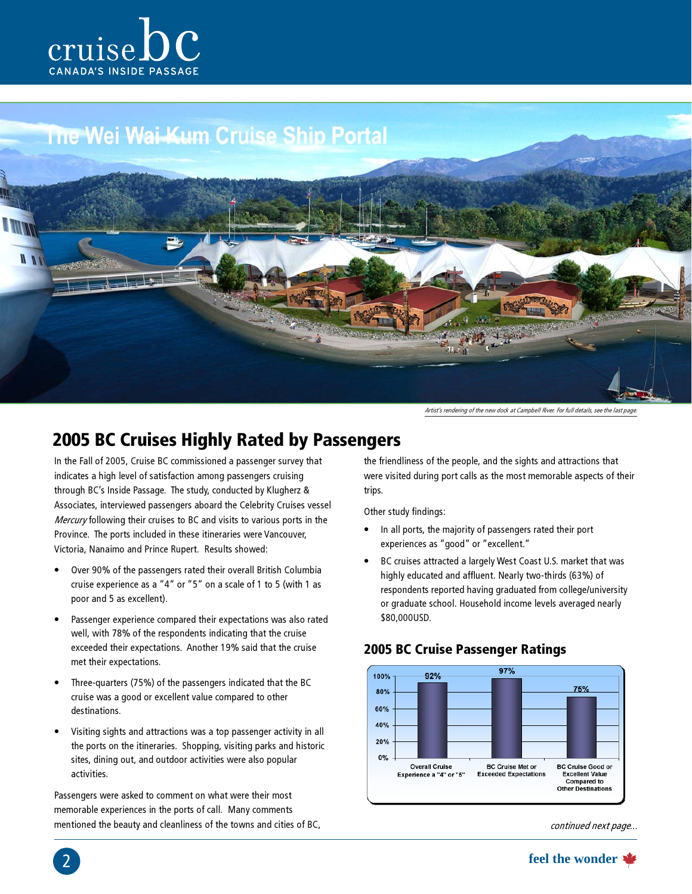

# The Wei Wai-Kum Cruise Ship Portal



Artist's rendering of the new dock at Campbell River. For full details, see the last page.

#### 2005 BC Cruises Highly Rated by Passengers

In the Fall of 2005, Cruise BC commissioned a passenger survey that indicates a high level of satisfaction among passengers cruising through BC's Inside Passage. The study, conducted by Klugherz & Associates, interviewed passengers aboard the Celebrity Cruises vessel Mercury following their cruises to BC and visits to various ports in the Province. The ports included in these itineraries were Vancouver, Victoria, Nanaimo and Prince Rupert. Results showed:

- Over 90% of the passengers rated their overall British Columbia cruise experience as a "4" or "5" on a scale of 1 to 5 (with 1 as poor and 5 as excellent).
- Passenger experience compared their expectations was also rated well, with 78% of the respondents indicating that the cruise exceeded their expectations. Another 19% said that the cruise met their expectations.
- Three-quarters (75%) of the passengers indicated that the BC cruise was a good or excellent value compared to other destinations.
- Visiting sights and attractions was a top passenger activity in all the ports on the itineraries. Shopping, visiting parks and historic sites, dining out, and outdoor activities were also popular activities.

Passengers were asked to comment on what were their most memorable experiences in the ports of call. Many comments mentioned the beauty and cleanliness of the towns and cities of BC,

the friendliness of the people, and the sights and attractions that were visited during port calls as the most memorable aspects of their trips.

Other study findings:

- In all ports, the majority of passengers rated their port experiences as "good" or "excellent."
- BC cruises attracted a largely West Coast U.S. market that was highly educated and affluent. Nearly two-thirds (63%) of respondents reported having graduated from college/university or graduate school. Household income levels averaged nearly \$80,000USD.

# 2005 BC Cruise Passenger Ratings



continued next page...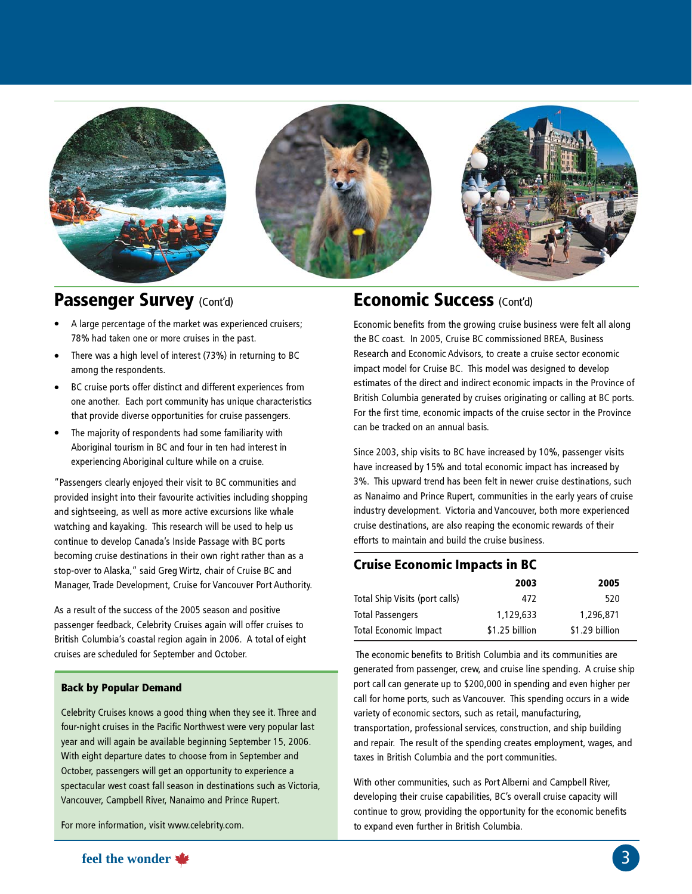

#### Passenger Survey (Cont'd) **Economic Success** (Cont'd)

- A large percentage of the market was experienced cruisers; 78% had taken one or more cruises in the past.
- There was a high level of interest (73%) in returning to BC among the respondents.
- BC cruise ports offer distinct and different experiences from one another. Each port community has unique characteristics that provide diverse opportunities for cruise passengers.
- The majority of respondents had some familiarity with Aboriginal tourism in BC and four in ten had interest in experiencing Aboriginal culture while on a cruise.

"Passengers clearly enjoyed their visit to BC communities and provided insight into their favourite activities including shopping and sightseeing, as well as more active excursions like whale watching and kayaking. This research will be used to help us continue to develop Canada's Inside Passage with BC ports becoming cruise destinations in their own right rather than as a stop-over to Alaska," said Greg Wirtz, chair of Cruise BC and Manager, Trade Development, Cruise for Vancouver Port Authority.

As a result of the success of the 2005 season and positive passenger feedback, Celebrity Cruises again will offer cruises to British Columbia's coastal region again in 2006. A total of eight cruises are scheduled for September and October.

#### Back by Popular Demand

Celebrity Cruises knows a good thing when they see it. Three and four-night cruises in the Pacific Northwest were very popular last year and will again be available beginning September 15, 2006. With eight departure dates to choose from in September and October, passengers will get an opportunity to experience a spectacular west coast fall season in destinations such as Victoria, Vancouver, Campbell River, Nanaimo and Prince Rupert.

For more information, visit www.celebrity.com.

Economic benefits from the growing cruise business were felt all along the BC coast. In 2005, Cruise BC commissioned BREA, Business Research and Economic Advisors, to create a cruise sector economic impact model for Cruise BC. This model was designed to develop estimates of the direct and indirect economic impacts in the Province of British Columbia generated by cruises originating or calling at BC ports. For the first time, economic impacts of the cruise sector in the Province can be tracked on an annual basis.

Since 2003, ship visits to BC have increased by 10%, passenger visits have increased by 15% and total economic impact has increased by 3%. This upward trend has been felt in newer cruise destinations, such as Nanaimo and Prince Rupert, communities in the early years of cruise industry development. Victoria and Vancouver, both more experienced cruise destinations, are also reaping the economic rewards of their efforts to maintain and build the cruise business.

#### Cruise Economic Impacts in BC

|                                | 2003           | 2005           |
|--------------------------------|----------------|----------------|
| Total Ship Visits (port calls) | 472            | 520            |
| Total Passengers               | 1.129.633      | 1,296,871      |
| Total Economic Impact          | \$1.25 billion | \$1.29 billion |

 The economic benefits to British Columbia and its communities are generated from passenger, crew, and cruise line spending. A cruise ship port call can generate up to \$200,000 in spending and even higher per call for home ports, such as Vancouver. This spending occurs in a wide variety of economic sectors, such as retail, manufacturing, transportation, professional services, construction, and ship building and repair. The result of the spending creates employment, wages, and taxes in British Columbia and the port communities.

With other communities, such as Port Alberni and Campbell River, developing their cruise capabilities, BC's overall cruise capacity will continue to grow, providing the opportunity for the economic benefits to expand even further in British Columbia.